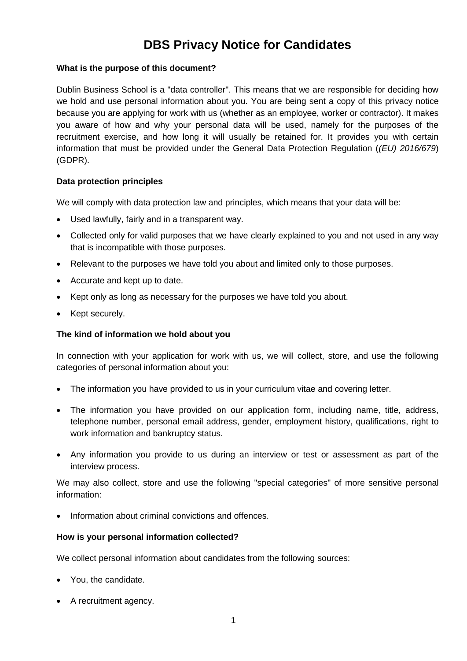# **DBS Privacy Notice for Candidates**

# **What is the purpose of this document?**

Dublin Business School is a "data controller". This means that we are responsible for deciding how we hold and use personal information about you. You are being sent a copy of this privacy notice because you are applying for work with us (whether as an employee, worker or contractor). It makes you aware of how and why your personal data will be used, namely for the purposes of the recruitment exercise, and how long it will usually be retained for. It provides you with certain information that must be provided under the General Data Protection Regulation (*(EU) 2016/679*) (GDPR).

# **Data protection principles**

We will comply with data protection law and principles, which means that your data will be:

- Used lawfully, fairly and in a transparent way.
- Collected only for valid purposes that we have clearly explained to you and not used in any way that is incompatible with those purposes.
- Relevant to the purposes we have told you about and limited only to those purposes.
- Accurate and kept up to date.
- Kept only as long as necessary for the purposes we have told you about.
- Kept securely.

## **The kind of information we hold about you**

In connection with your application for work with us, we will collect, store, and use the following categories of personal information about you:

- The information you have provided to us in your curriculum vitae and covering letter.
- The information you have provided on our application form, including name, title, address, telephone number, personal email address, gender, employment history, qualifications, right to work information and bankruptcy status.
- Any information you provide to us during an interview or test or assessment as part of the interview process.

We may also collect, store and use the following "special categories" of more sensitive personal information:

Information about criminal convictions and offences.

## **How is your personal information collected?**

We collect personal information about candidates from the following sources:

- You, the candidate.
- A recruitment agency.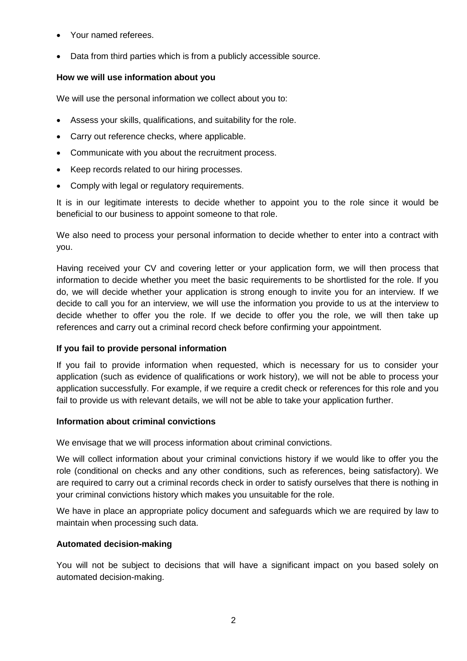- Your named referees.
- Data from third parties which is from a publicly accessible source.

# **How we will use information about you**

We will use the personal information we collect about you to:

- Assess your skills, qualifications, and suitability for the role.
- Carry out reference checks, where applicable.
- Communicate with you about the recruitment process.
- Keep records related to our hiring processes.
- Comply with legal or regulatory requirements.

It is in our legitimate interests to decide whether to appoint you to the role since it would be beneficial to our business to appoint someone to that role.

We also need to process your personal information to decide whether to enter into a contract with you.

Having received your CV and covering letter or your application form, we will then process that information to decide whether you meet the basic requirements to be shortlisted for the role. If you do, we will decide whether your application is strong enough to invite you for an interview. If we decide to call you for an interview, we will use the information you provide to us at the interview to decide whether to offer you the role. If we decide to offer you the role, we will then take up references and carry out a criminal record check before confirming your appointment.

## **If you fail to provide personal information**

If you fail to provide information when requested, which is necessary for us to consider your application (such as evidence of qualifications or work history), we will not be able to process your application successfully. For example, if we require a credit check or references for this role and you fail to provide us with relevant details, we will not be able to take your application further.

## **Information about criminal convictions**

We envisage that we will process information about criminal convictions.

We will collect information about your criminal convictions history if we would like to offer you the role (conditional on checks and any other conditions, such as references, being satisfactory). We are required to carry out a criminal records check in order to satisfy ourselves that there is nothing in your criminal convictions history which makes you unsuitable for the role.

We have in place an appropriate policy document and safeguards which we are required by law to maintain when processing such data.

## **Automated decision-making**

You will not be subject to decisions that will have a significant impact on you based solely on automated decision-making.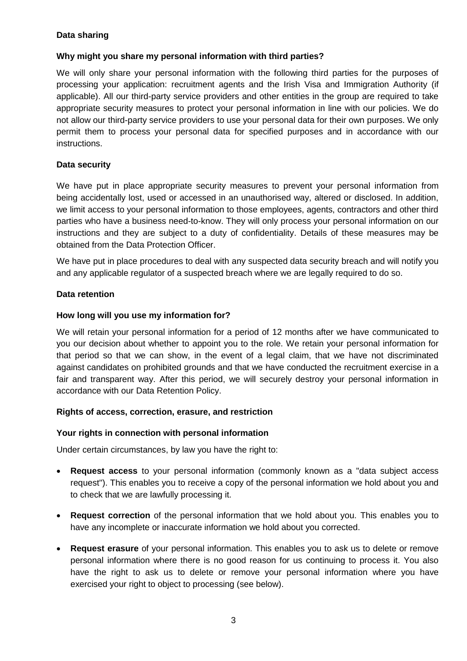# **Data sharing**

# **Why might you share my personal information with third parties?**

We will only share your personal information with the following third parties for the purposes of processing your application: recruitment agents and the Irish Visa and Immigration Authority (if applicable). All our third-party service providers and other entities in the group are required to take appropriate security measures to protect your personal information in line with our policies. We do not allow our third-party service providers to use your personal data for their own purposes. We only permit them to process your personal data for specified purposes and in accordance with our instructions.

# **Data security**

We have put in place appropriate security measures to prevent your personal information from being accidentally lost, used or accessed in an unauthorised way, altered or disclosed. In addition, we limit access to your personal information to those employees, agents, contractors and other third parties who have a business need-to-know. They will only process your personal information on our instructions and they are subject to a duty of confidentiality. Details of these measures may be obtained from the Data Protection Officer.

We have put in place procedures to deal with any suspected data security breach and will notify you and any applicable regulator of a suspected breach where we are legally required to do so.

# **Data retention**

# **How long will you use my information for?**

We will retain your personal information for a period of 12 months after we have communicated to you our decision about whether to appoint you to the role. We retain your personal information for that period so that we can show, in the event of a legal claim, that we have not discriminated against candidates on prohibited grounds and that we have conducted the recruitment exercise in a fair and transparent way. After this period, we will securely destroy your personal information in accordance with our Data Retention Policy.

## **Rights of access, correction, erasure, and restriction**

## **Your rights in connection with personal information**

Under certain circumstances, by law you have the right to:

- **Request access** to your personal information (commonly known as a "data subject access request"). This enables you to receive a copy of the personal information we hold about you and to check that we are lawfully processing it.
- **Request correction** of the personal information that we hold about you. This enables you to have any incomplete or inaccurate information we hold about you corrected.
- **Request erasure** of your personal information. This enables you to ask us to delete or remove personal information where there is no good reason for us continuing to process it. You also have the right to ask us to delete or remove your personal information where you have exercised your right to object to processing (see below).